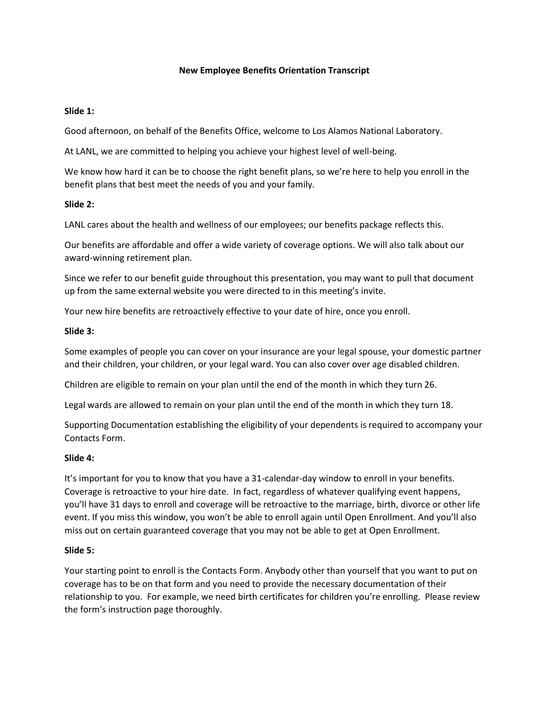### **New Employee Benefits Orientation Transcript**

#### **Slide 1:**

Good afternoon, on behalf of the Benefits Office, welcome to Los Alamos National Laboratory.

At LANL, we are committed to helping you achieve your highest level of well-being.

We know how hard it can be to choose the right benefit plans, so we're here to help you enroll in the benefit plans that best meet the needs of you and your family.

### **Slide 2:**

LANL cares about the health and wellness of our employees; our benefits package reflects this.

Our benefits are affordable and offer a wide variety of coverage options. We will also talk about our award-winning retirement plan.

Since we refer to our benefit guide throughout this presentation, you may want to pull that document up from the same external website you were directed to in this meeting's invite.

Your new hire benefits are retroactively effective to your date of hire, once you enroll.

#### **Slide 3:**

Some examples of people you can cover on your insurance are your legal spouse, your domestic partner and their children, your children, or your legal ward. You can also cover over age disabled children.

Children are eligible to remain on your plan until the end of the month in which they turn 26.

Legal wards are allowed to remain on your plan until the end of the month in which they turn 18.

Supporting Documentation establishing the eligibility of your dependents is required to accompany your Contacts Form.

#### **Slide 4:**

It's important for you to know that you have a 31-calendar-day window to enroll in your benefits. Coverage is retroactive to your hire date. In fact, regardless of whatever qualifying event happens, you'll have 31 days to enroll and coverage will be retroactive to the marriage, birth, divorce or other life event. If you miss this window, you won't be able to enroll again until Open Enrollment. And you'll also miss out on certain guaranteed coverage that you may not be able to get at Open Enrollment.

### **Slide 5:**

Your starting point to enroll is the Contacts Form. Anybody other than yourself that you want to put on coverage has to be on that form and you need to provide the necessary documentation of their relationship to you. For example, we need birth certificates for children you're enrolling. Please review the form's instruction page thoroughly.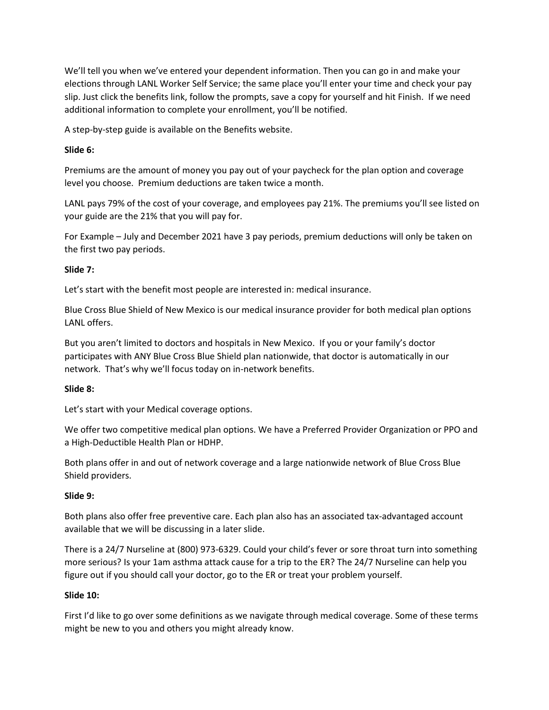We'll tell you when we've entered your dependent information. Then you can go in and make your elections through LANL Worker Self Service; the same place you'll enter your time and check your pay slip. Just click the benefits link, follow the prompts, save a copy for yourself and hit Finish. If we need additional information to complete your enrollment, you'll be notified.

A step-by-step guide is available on the Benefits website.

## **Slide 6:**

Premiums are the amount of money you pay out of your paycheck for the plan option and coverage level you choose. Premium deductions are taken twice a month.

LANL pays 79% of the cost of your coverage, and employees pay 21%. The premiums you'll see listed on your guide are the 21% that you will pay for.

For Example – July and December 2021 have 3 pay periods, premium deductions will only be taken on the first two pay periods.

## **Slide 7:**

Let's start with the benefit most people are interested in: medical insurance.

Blue Cross Blue Shield of New Mexico is our medical insurance provider for both medical plan options LANL offers.

But you aren't limited to doctors and hospitals in New Mexico. If you or your family's doctor participates with ANY Blue Cross Blue Shield plan nationwide, that doctor is automatically in our network. That's why we'll focus today on in-network benefits.

### **Slide 8:**

Let's start with your Medical coverage options.

We offer two competitive medical plan options. We have a Preferred Provider Organization or PPO and a High-Deductible Health Plan or HDHP.

Both plans offer in and out of network coverage and a large nationwide network of Blue Cross Blue Shield providers.

# **Slide 9:**

Both plans also offer free preventive care. Each plan also has an associated tax-advantaged account available that we will be discussing in a later slide.

There is a 24/7 Nurseline at (800) 973-6329. Could your child's fever or sore throat turn into something more serious? Is your 1am asthma attack cause for a trip to the ER? The 24/7 Nurseline can help you figure out if you should call your doctor, go to the ER or treat your problem yourself.

### **Slide 10:**

First I'd like to go over some definitions as we navigate through medical coverage. Some of these terms might be new to you and others you might already know.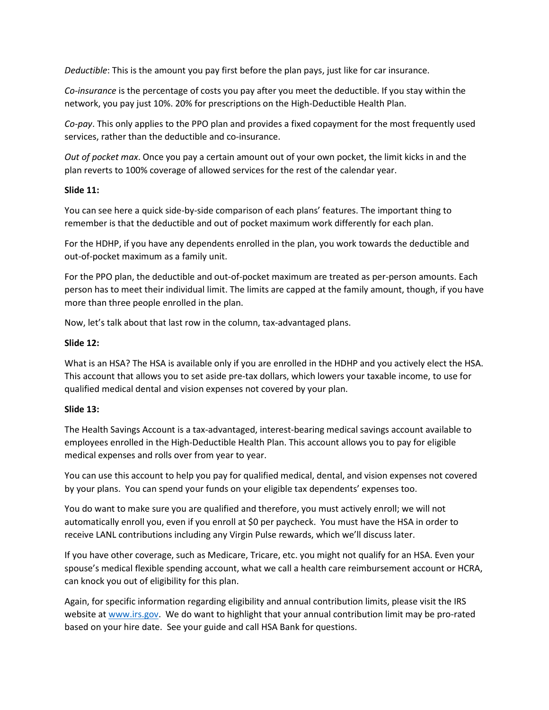*Deductible*: This is the amount you pay first before the plan pays, just like for car insurance.

*Co-insurance* is the percentage of costs you pay after you meet the deductible. If you stay within the network, you pay just 10%. 20% for prescriptions on the High-Deductible Health Plan.

*Co-pay*. This only applies to the PPO plan and provides a fixed copayment for the most frequently used services, rather than the deductible and co-insurance.

*Out of pocket max*. Once you pay a certain amount out of your own pocket, the limit kicks in and the plan reverts to 100% coverage of allowed services for the rest of the calendar year.

## **Slide 11:**

You can see here a quick side-by-side comparison of each plans' features. The important thing to remember is that the deductible and out of pocket maximum work differently for each plan.

For the HDHP, if you have any dependents enrolled in the plan, you work towards the deductible and out-of-pocket maximum as a family unit.

For the PPO plan, the deductible and out-of-pocket maximum are treated as per-person amounts. Each person has to meet their individual limit. The limits are capped at the family amount, though, if you have more than three people enrolled in the plan.

Now, let's talk about that last row in the column, tax-advantaged plans.

## **Slide 12:**

What is an HSA? The HSA is available only if you are enrolled in the HDHP and you actively elect the HSA. This account that allows you to set aside pre-tax dollars, which lowers your taxable income, to use for qualified medical dental and vision expenses not covered by your plan.

# **Slide 13:**

The Health Savings Account is a tax-advantaged, interest-bearing medical savings account available to employees enrolled in the High-Deductible Health Plan. This account allows you to pay for eligible medical expenses and rolls over from year to year.

You can use this account to help you pay for qualified medical, dental, and vision expenses not covered by your plans. You can spend your funds on your eligible tax dependents' expenses too.

You do want to make sure you are qualified and therefore, you must actively enroll; we will not automatically enroll you, even if you enroll at \$0 per paycheck. You must have the HSA in order to receive LANL contributions including any Virgin Pulse rewards, which we'll discuss later.

If you have other coverage, such as Medicare, Tricare, etc. you might not qualify for an HSA. Even your spouse's medical flexible spending account, what we call a health care reimbursement account or HCRA, can knock you out of eligibility for this plan.

Again, for specific information regarding eligibility and annual contribution limits, please visit the IRS website at [www.irs.gov.](http://www.irs.gov/) We do want to highlight that your annual contribution limit may be pro-rated based on your hire date. See your guide and call HSA Bank for questions.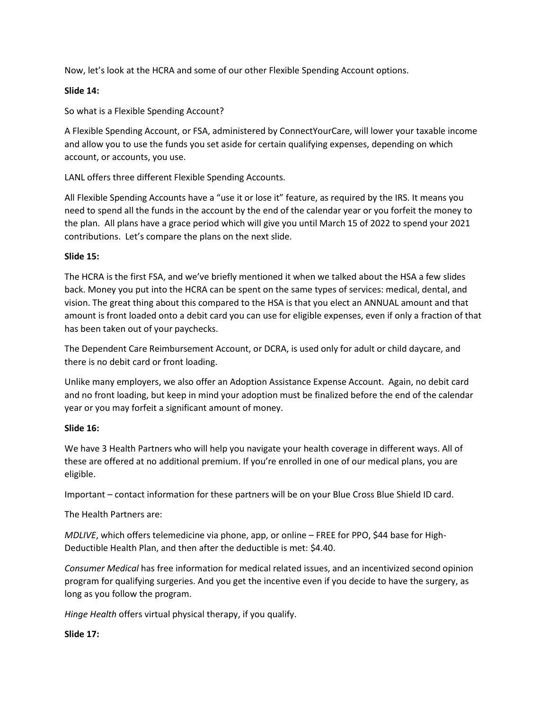Now, let's look at the HCRA and some of our other Flexible Spending Account options.

## **Slide 14:**

So what is a Flexible Spending Account?

A Flexible Spending Account, or FSA, administered by ConnectYourCare, will lower your taxable income and allow you to use the funds you set aside for certain qualifying expenses, depending on which account, or accounts, you use.

LANL offers three different Flexible Spending Accounts.

All Flexible Spending Accounts have a "use it or lose it" feature, as required by the IRS. It means you need to spend all the funds in the account by the end of the calendar year or you forfeit the money to the plan. All plans have a grace period which will give you until March 15 of 2022 to spend your 2021 contributions. Let's compare the plans on the next slide.

## **Slide 15:**

The HCRA is the first FSA, and we've briefly mentioned it when we talked about the HSA a few slides back. Money you put into the HCRA can be spent on the same types of services: medical, dental, and vision. The great thing about this compared to the HSA is that you elect an ANNUAL amount and that amount is front loaded onto a debit card you can use for eligible expenses, even if only a fraction of that has been taken out of your paychecks.

The Dependent Care Reimbursement Account, or DCRA, is used only for adult or child daycare, and there is no debit card or front loading.

Unlike many employers, we also offer an Adoption Assistance Expense Account. Again, no debit card and no front loading, but keep in mind your adoption must be finalized before the end of the calendar year or you may forfeit a significant amount of money.

### **Slide 16:**

We have 3 Health Partners who will help you navigate your health coverage in different ways. All of these are offered at no additional premium. If you're enrolled in one of our medical plans, you are eligible.

Important – contact information for these partners will be on your Blue Cross Blue Shield ID card.

The Health Partners are:

*MDLIVE*, which offers telemedicine via phone, app, or online – FREE for PPO, \$44 base for High-Deductible Health Plan, and then after the deductible is met: \$4.40.

*Consumer Medical* has free information for medical related issues, and an incentivized second opinion program for qualifying surgeries. And you get the incentive even if you decide to have the surgery, as long as you follow the program.

*Hinge Health* offers virtual physical therapy, if you qualify.

# **Slide 17:**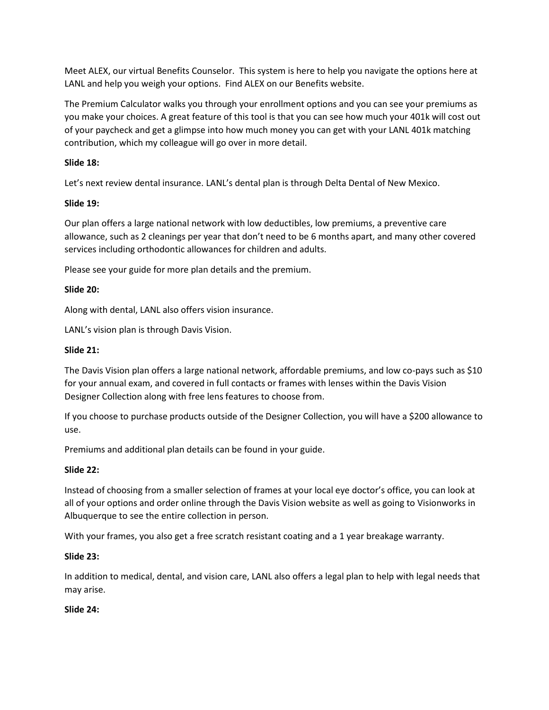Meet ALEX, our virtual Benefits Counselor. This system is here to help you navigate the options here at LANL and help you weigh your options. Find ALEX on our Benefits website.

The Premium Calculator walks you through your enrollment options and you can see your premiums as you make your choices. A great feature of this tool is that you can see how much your 401k will cost out of your paycheck and get a glimpse into how much money you can get with your LANL 401k matching contribution, which my colleague will go over in more detail.

## **Slide 18:**

Let's next review dental insurance. LANL's dental plan is through Delta Dental of New Mexico.

## **Slide 19:**

Our plan offers a large national network with low deductibles, low premiums, a preventive care allowance, such as 2 cleanings per year that don't need to be 6 months apart, and many other covered services including orthodontic allowances for children and adults.

Please see your guide for more plan details and the premium.

## **Slide 20:**

Along with dental, LANL also offers vision insurance.

LANL's vision plan is through Davis Vision.

### **Slide 21:**

The Davis Vision plan offers a large national network, affordable premiums, and low co-pays such as \$10 for your annual exam, and covered in full contacts or frames with lenses within the Davis Vision Designer Collection along with free lens features to choose from.

If you choose to purchase products outside of the Designer Collection, you will have a \$200 allowance to use.

Premiums and additional plan details can be found in your guide.

### **Slide 22:**

Instead of choosing from a smaller selection of frames at your local eye doctor's office, you can look at all of your options and order online through the Davis Vision website as well as going to Visionworks in Albuquerque to see the entire collection in person.

With your frames, you also get a free scratch resistant coating and a 1 year breakage warranty.

### **Slide 23:**

In addition to medical, dental, and vision care, LANL also offers a legal plan to help with legal needs that may arise.

### **Slide 24:**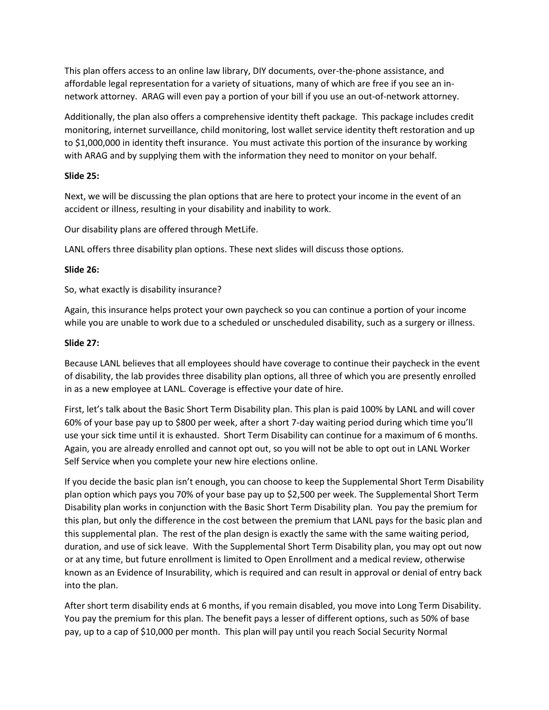This plan offers access to an online law library, DIY documents, over-the-phone assistance, and affordable legal representation for a variety of situations, many of which are free if you see an innetwork attorney. ARAG will even pay a portion of your bill if you use an out-of-network attorney.

Additionally, the plan also offers a comprehensive identity theft package. This package includes credit monitoring, internet surveillance, child monitoring, lost wallet service identity theft restoration and up to \$1,000,000 in identity theft insurance. You must activate this portion of the insurance by working with ARAG and by supplying them with the information they need to monitor on your behalf.

### **Slide 25:**

Next, we will be discussing the plan options that are here to protect your income in the event of an accident or illness, resulting in your disability and inability to work.

Our disability plans are offered through MetLife.

LANL offers three disability plan options. These next slides will discuss those options.

## **Slide 26:**

So, what exactly is disability insurance?

Again, this insurance helps protect your own paycheck so you can continue a portion of your income while you are unable to work due to a scheduled or unscheduled disability, such as a surgery or illness.

## **Slide 27:**

Because LANL believes that all employees should have coverage to continue their paycheck in the event of disability, the lab provides three disability plan options, all three of which you are presently enrolled in as a new employee at LANL. Coverage is effective your date of hire.

First, let's talk about the Basic Short Term Disability plan. This plan is paid 100% by LANL and will cover 60% of your base pay up to \$800 per week, after a short 7-day waiting period during which time you'll use your sick time until it is exhausted. Short Term Disability can continue for a maximum of 6 months. Again, you are already enrolled and cannot opt out, so you will not be able to opt out in LANL Worker Self Service when you complete your new hire elections online.

If you decide the basic plan isn't enough, you can choose to keep the Supplemental Short Term Disability plan option which pays you 70% of your base pay up to \$2,500 per week. The Supplemental Short Term Disability plan works in conjunction with the Basic Short Term Disability plan. You pay the premium for this plan, but only the difference in the cost between the premium that LANL pays for the basic plan and this supplemental plan. The rest of the plan design is exactly the same with the same waiting period, duration, and use of sick leave. With the Supplemental Short Term Disability plan, you may opt out now or at any time, but future enrollment is limited to Open Enrollment and a medical review, otherwise known as an Evidence of Insurability, which is required and can result in approval or denial of entry back into the plan.

After short term disability ends at 6 months, if you remain disabled, you move into Long Term Disability. You pay the premium for this plan. The benefit pays a lesser of different options, such as 50% of base pay, up to a cap of \$10,000 per month. This plan will pay until you reach Social Security Normal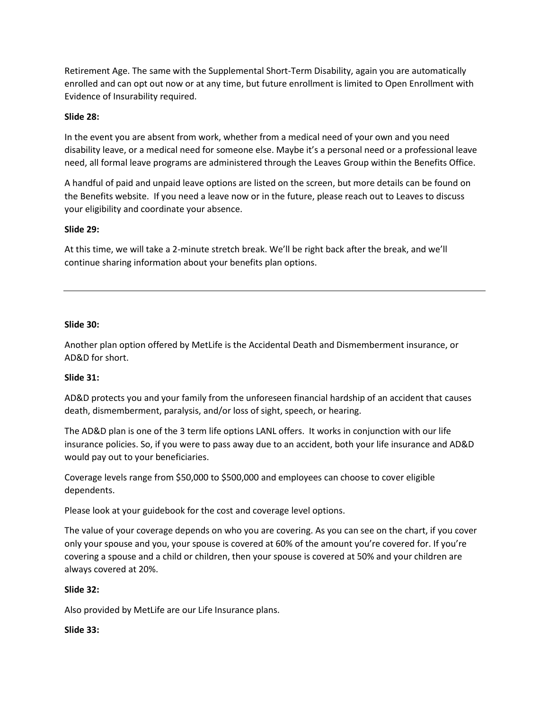Retirement Age. The same with the Supplemental Short-Term Disability, again you are automatically enrolled and can opt out now or at any time, but future enrollment is limited to Open Enrollment with Evidence of Insurability required.

## **Slide 28:**

In the event you are absent from work, whether from a medical need of your own and you need disability leave, or a medical need for someone else. Maybe it's a personal need or a professional leave need, all formal leave programs are administered through the Leaves Group within the Benefits Office.

A handful of paid and unpaid leave options are listed on the screen, but more details can be found on the Benefits website. If you need a leave now or in the future, please reach out to Leaves to discuss your eligibility and coordinate your absence.

## **Slide 29:**

At this time, we will take a 2-minute stretch break. We'll be right back after the break, and we'll continue sharing information about your benefits plan options.

### **Slide 30:**

Another plan option offered by MetLife is the Accidental Death and Dismemberment insurance, or AD&D for short.

# **Slide 31:**

AD&D protects you and your family from the unforeseen financial hardship of an accident that causes death, dismemberment, paralysis, and/or loss of sight, speech, or hearing.

The AD&D plan is one of the 3 term life options LANL offers. It works in conjunction with our life insurance policies. So, if you were to pass away due to an accident, both your life insurance and AD&D would pay out to your beneficiaries.

Coverage levels range from \$50,000 to \$500,000 and employees can choose to cover eligible dependents.

Please look at your guidebook for the cost and coverage level options.

The value of your coverage depends on who you are covering. As you can see on the chart, if you cover only your spouse and you, your spouse is covered at 60% of the amount you're covered for. If you're covering a spouse and a child or children, then your spouse is covered at 50% and your children are always covered at 20%.

# **Slide 32:**

Also provided by MetLife are our Life Insurance plans.

### **Slide 33:**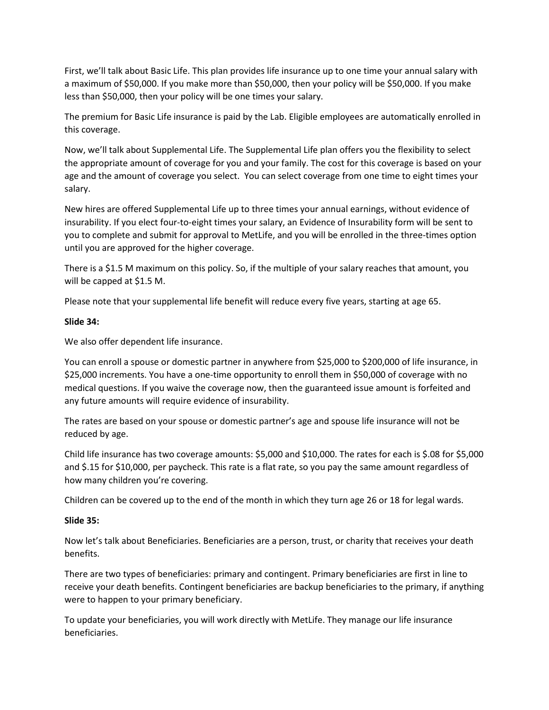First, we'll talk about Basic Life. This plan provides life insurance up to one time your annual salary with a maximum of \$50,000. If you make more than \$50,000, then your policy will be \$50,000. If you make less than \$50,000, then your policy will be one times your salary.

The premium for Basic Life insurance is paid by the Lab. Eligible employees are automatically enrolled in this coverage.

Now, we'll talk about Supplemental Life. The Supplemental Life plan offers you the flexibility to select the appropriate amount of coverage for you and your family. The cost for this coverage is based on your age and the amount of coverage you select. You can select coverage from one time to eight times your salary.

New hires are offered Supplemental Life up to three times your annual earnings, without evidence of insurability. If you elect four-to-eight times your salary, an Evidence of Insurability form will be sent to you to complete and submit for approval to MetLife, and you will be enrolled in the three-times option until you are approved for the higher coverage.

There is a \$1.5 M maximum on this policy. So, if the multiple of your salary reaches that amount, you will be capped at \$1.5 M.

Please note that your supplemental life benefit will reduce every five years, starting at age 65.

### **Slide 34:**

We also offer dependent life insurance.

You can enroll a spouse or domestic partner in anywhere from \$25,000 to \$200,000 of life insurance, in \$25,000 increments. You have a one-time opportunity to enroll them in \$50,000 of coverage with no medical questions. If you waive the coverage now, then the guaranteed issue amount is forfeited and any future amounts will require evidence of insurability.

The rates are based on your spouse or domestic partner's age and spouse life insurance will not be reduced by age.

Child life insurance has two coverage amounts: \$5,000 and \$10,000. The rates for each is \$.08 for \$5,000 and \$.15 for \$10,000, per paycheck. This rate is a flat rate, so you pay the same amount regardless of how many children you're covering.

Children can be covered up to the end of the month in which they turn age 26 or 18 for legal wards.

### **Slide 35:**

Now let's talk about Beneficiaries. Beneficiaries are a person, trust, or charity that receives your death benefits.

There are two types of beneficiaries: primary and contingent. Primary beneficiaries are first in line to receive your death benefits. Contingent beneficiaries are backup beneficiaries to the primary, if anything were to happen to your primary beneficiary.

To update your beneficiaries, you will work directly with MetLife. They manage our life insurance beneficiaries.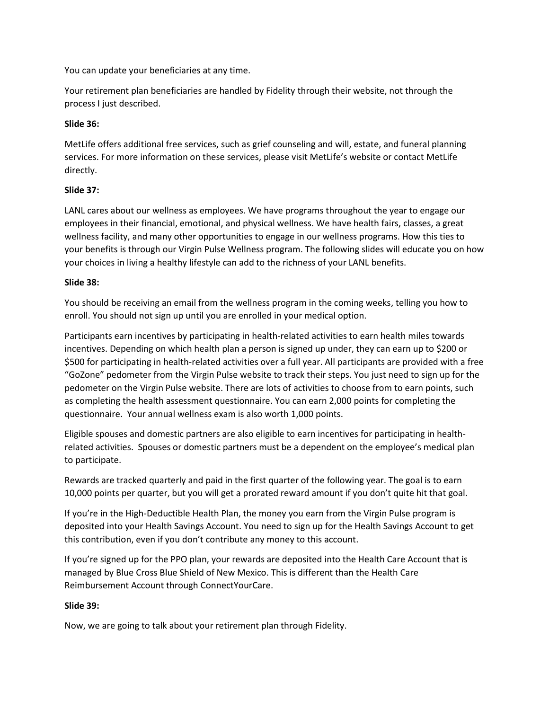You can update your beneficiaries at any time.

Your retirement plan beneficiaries are handled by Fidelity through their website, not through the process I just described.

## **Slide 36:**

MetLife offers additional free services, such as grief counseling and will, estate, and funeral planning services. For more information on these services, please visit MetLife's website or contact MetLife directly.

# **Slide 37:**

LANL cares about our wellness as employees. We have programs throughout the year to engage our employees in their financial, emotional, and physical wellness. We have health fairs, classes, a great wellness facility, and many other opportunities to engage in our wellness programs. How this ties to your benefits is through our Virgin Pulse Wellness program. The following slides will educate you on how your choices in living a healthy lifestyle can add to the richness of your LANL benefits.

## **Slide 38:**

You should be receiving an email from the wellness program in the coming weeks, telling you how to enroll. You should not sign up until you are enrolled in your medical option.

Participants earn incentives by participating in health-related activities to earn health miles towards incentives. Depending on which health plan a person is signed up under, they can earn up to \$200 or \$500 for participating in health-related activities over a full year. All participants are provided with a free "GoZone" pedometer from the Virgin Pulse website to track their steps. You just need to sign up for the pedometer on the Virgin Pulse website. There are lots of activities to choose from to earn points, such as completing the health assessment questionnaire. You can earn 2,000 points for completing the questionnaire. Your annual wellness exam is also worth 1,000 points.

Eligible spouses and domestic partners are also eligible to earn incentives for participating in healthrelated activities. Spouses or domestic partners must be a dependent on the employee's medical plan to participate.

Rewards are tracked quarterly and paid in the first quarter of the following year. The goal is to earn 10,000 points per quarter, but you will get a prorated reward amount if you don't quite hit that goal.

If you're in the High-Deductible Health Plan, the money you earn from the Virgin Pulse program is deposited into your Health Savings Account. You need to sign up for the Health Savings Account to get this contribution, even if you don't contribute any money to this account.

If you're signed up for the PPO plan, your rewards are deposited into the Health Care Account that is managed by Blue Cross Blue Shield of New Mexico. This is different than the Health Care Reimbursement Account through ConnectYourCare.

# **Slide 39:**

Now, we are going to talk about your retirement plan through Fidelity.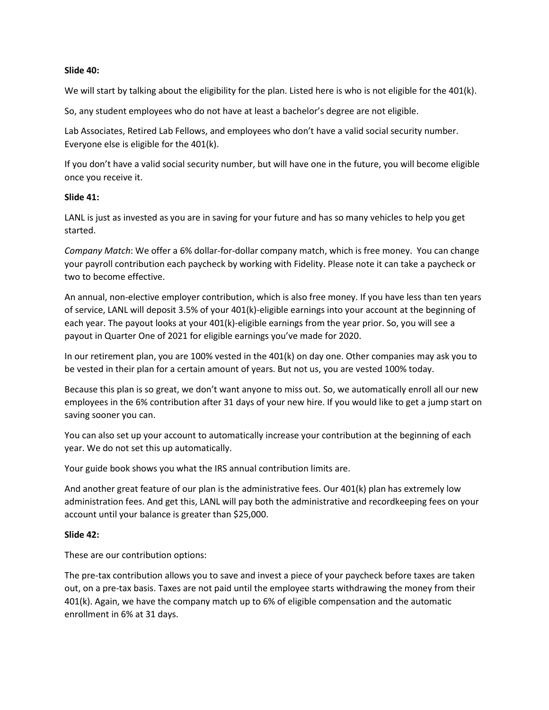#### **Slide 40:**

We will start by talking about the eligibility for the plan. Listed here is who is not eligible for the 401(k).

So, any student employees who do not have at least a bachelor's degree are not eligible.

Lab Associates, Retired Lab Fellows, and employees who don't have a valid social security number. Everyone else is eligible for the 401(k).

If you don't have a valid social security number, but will have one in the future, you will become eligible once you receive it.

### **Slide 41:**

LANL is just as invested as you are in saving for your future and has so many vehicles to help you get started.

*Company Match*: We offer a 6% dollar-for-dollar company match, which is free money. You can change your payroll contribution each paycheck by working with Fidelity. Please note it can take a paycheck or two to become effective.

An annual, non-elective employer contribution, which is also free money. If you have less than ten years of service, LANL will deposit 3.5% of your 401(k)-eligible earnings into your account at the beginning of each year. The payout looks at your 401(k)-eligible earnings from the year prior. So, you will see a payout in Quarter One of 2021 for eligible earnings you've made for 2020.

In our retirement plan, you are 100% vested in the 401(k) on day one. Other companies may ask you to be vested in their plan for a certain amount of years. But not us, you are vested 100% today.

Because this plan is so great, we don't want anyone to miss out. So, we automatically enroll all our new employees in the 6% contribution after 31 days of your new hire. If you would like to get a jump start on saving sooner you can.

You can also set up your account to automatically increase your contribution at the beginning of each year. We do not set this up automatically.

Your guide book shows you what the IRS annual contribution limits are.

And another great feature of our plan is the administrative fees. Our 401(k) plan has extremely low administration fees. And get this, LANL will pay both the administrative and recordkeeping fees on your account until your balance is greater than \$25,000.

### **Slide 42:**

These are our contribution options:

The pre-tax contribution allows you to save and invest a piece of your paycheck before taxes are taken out, on a pre-tax basis. Taxes are not paid until the employee starts withdrawing the money from their 401(k). Again, we have the company match up to 6% of eligible compensation and the automatic enrollment in 6% at 31 days.